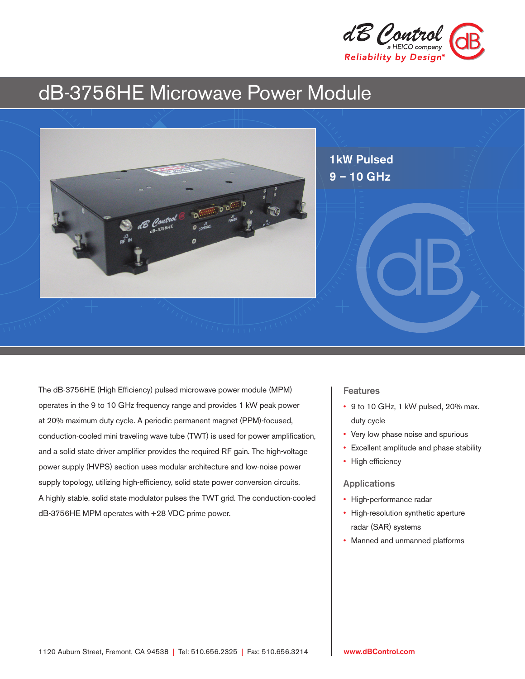

# dB-3756HE Microwave Power Module



The dB-3756HE (High Efficiency) pulsed microwave power module (MPM) operates in the 9 to 10 GHz frequency range and provides 1 kW peak power at 20% maximum duty cycle. A periodic permanent magnet (PPM)-focused, conduction-cooled mini traveling wave tube (TWT) is used for power amplification, and a solid state driver amplifier provides the required RF gain. The high-voltage power supply (HVPS) section uses modular architecture and low-noise power supply topology, utilizing high-efficiency, solid state power conversion circuits. A highly stable, solid state modulator pulses the TWT grid. The conduction-cooled dB-3756HE MPM operates with +28 VDC prime power.

# Features

- 9 to 10 GHz, 1 kW pulsed, 20% max. duty cycle
- Very low phase noise and spurious
- Excellent amplitude and phase stability
- High efficiency

# Applications

- High-performance radar
- High-resolution synthetic aperture radar (SAR) systems
- Manned and unmanned platforms